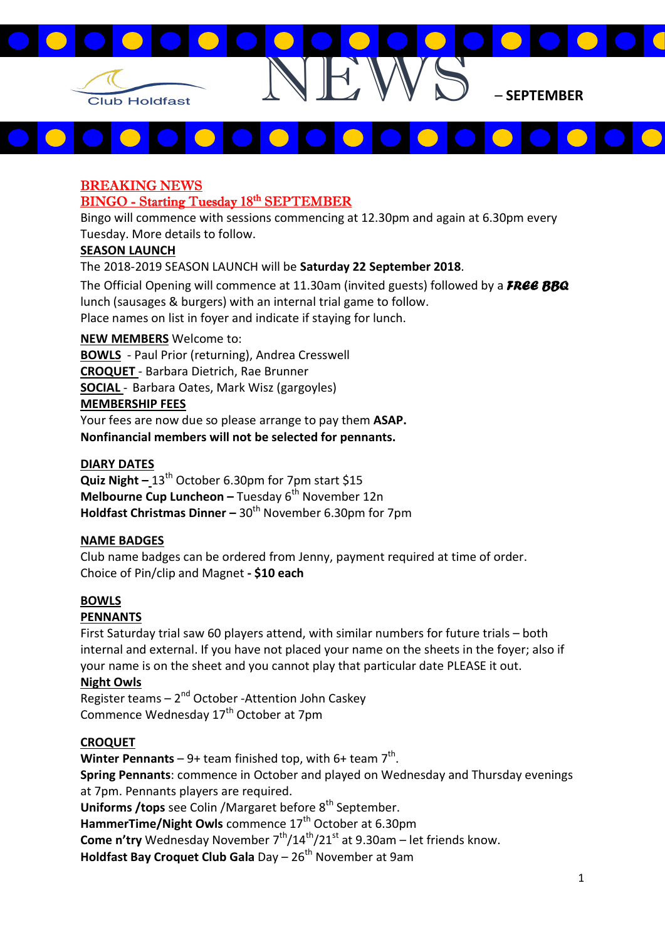

# $\blacksquare$

#### BREAKING NEWS BINGO - Starting Tuesday 18th SEPTEMBER

Bingo will commence with sessions commencing at 12.30pm and again at 6.30pm every Tuesday. More details to follow.

# SEASON LAUNCH

The 2018-2019 SEASON LAUNCH will be Saturday 22 September 2018.

The Official Opening will commence at 11.30am (invited guests) followed by a  $F_{R}ee$  BBQ lunch (sausages & burgers) with an internal trial game to follow. Place names on list in foyer and indicate if staying for lunch.

# NEW MEMBERS Welcome to:

BOWLS - Paul Prior (returning), Andrea Cresswell

CROQUET - Barbara Dietrich, Rae Brunner

SOCIAL - Barbara Oates, Mark Wisz (gargoyles)

## MEMBERSHIP FEES

Your fees are now due so please arrange to pay them ASAP. Nonfinancial members will not be selected for pennants.

# DIARY DATES

**Quiz Night – 13<sup>th</sup> October 6.30pm for 7pm start \$15** Melbourne Cup Luncheon – Tuesday  $6<sup>th</sup>$  November 12n Holdfast Christmas Dinner –  $30<sup>th</sup>$  November 6.30pm for 7pm

## NAME BADGES

Club name badges can be ordered from Jenny, payment required at time of order. Choice of Pin/clip and Magnet - \$10 each

# BOWLS

# PENNANTS

First Saturday trial saw 60 players attend, with similar numbers for future trials – both internal and external. If you have not placed your name on the sheets in the foyer; also if your name is on the sheet and you cannot play that particular date PLEASE it out.

## Night Owls

Register teams  $-2<sup>nd</sup>$  October -Attention John Caskey Commence Wednesday 17<sup>th</sup> October at 7pm

## **CROQUET**

Winter Pennants – 9+ team finished top, with 6+ team  $7<sup>th</sup>$ . Spring Pennants: commence in October and played on Wednesday and Thursday evenings at 7pm. Pennants players are required. Uniforms / tops see Colin / Margaret before  $8<sup>th</sup>$  September. HammerTime/Night Owls commence 17<sup>th</sup> October at 6.30pm Come n'try Wednesday November  $7<sup>th</sup>/14<sup>th</sup>/21<sup>st</sup>$  at 9.30am – let friends know.

Holdfast Bay Croquet Club Gala Day  $-26<sup>th</sup>$  November at 9am